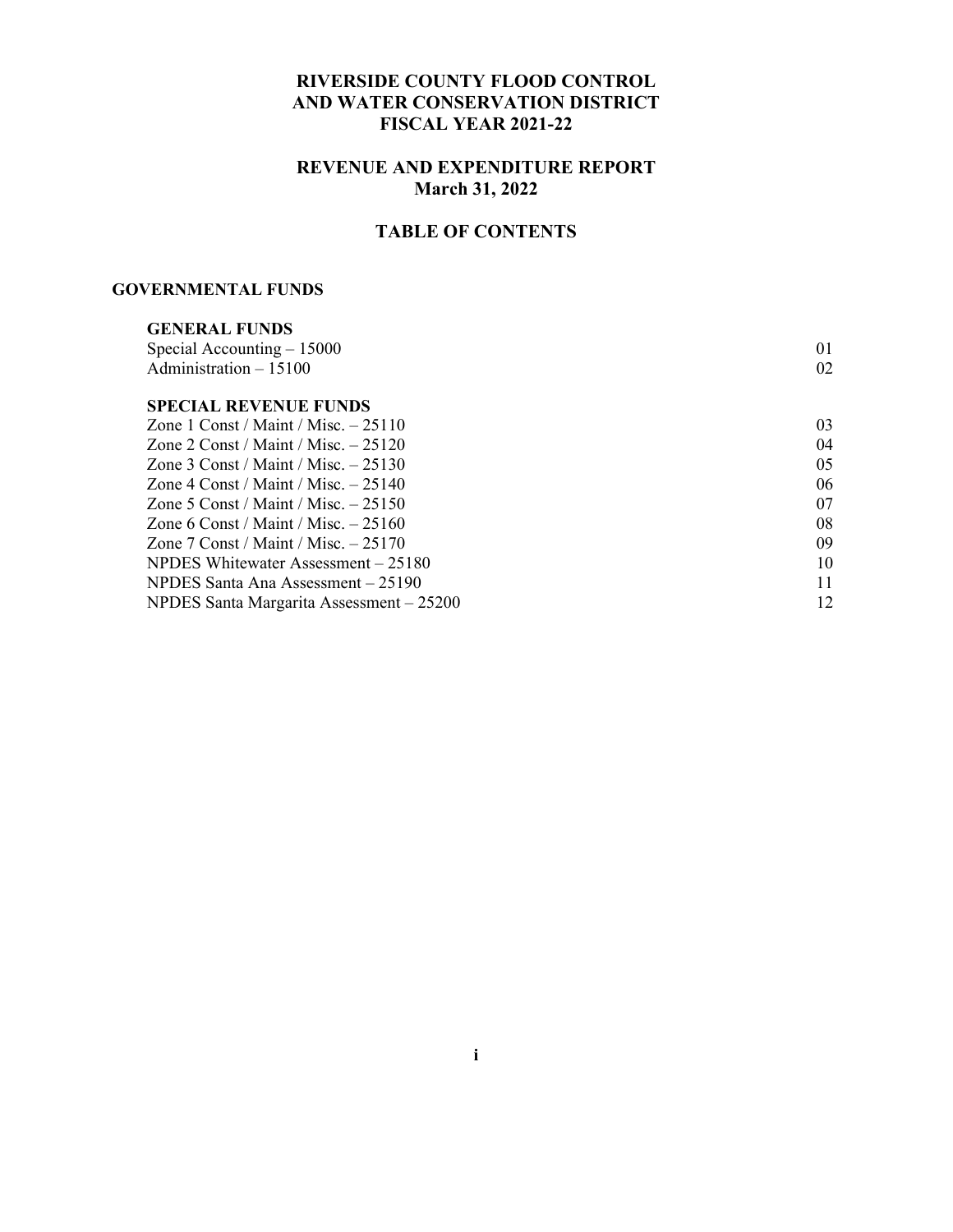#### **RIVERSIDE COUNTY FLOOD CONTROL AND WATER CONSERVATION DISTRICT FISCAL YEAR 2021-22**

#### **REVENUE AND EXPENDITURE REPORT March 31, 2022**

### **TABLE OF CONTENTS**

#### **GOVERNMENTAL FUNDS**

| 01 |
|----|
| 02 |
|    |
| 03 |
| 04 |
| 05 |
| 06 |
| 07 |
| 08 |
| 09 |
| 10 |
| 11 |
| 12 |
|    |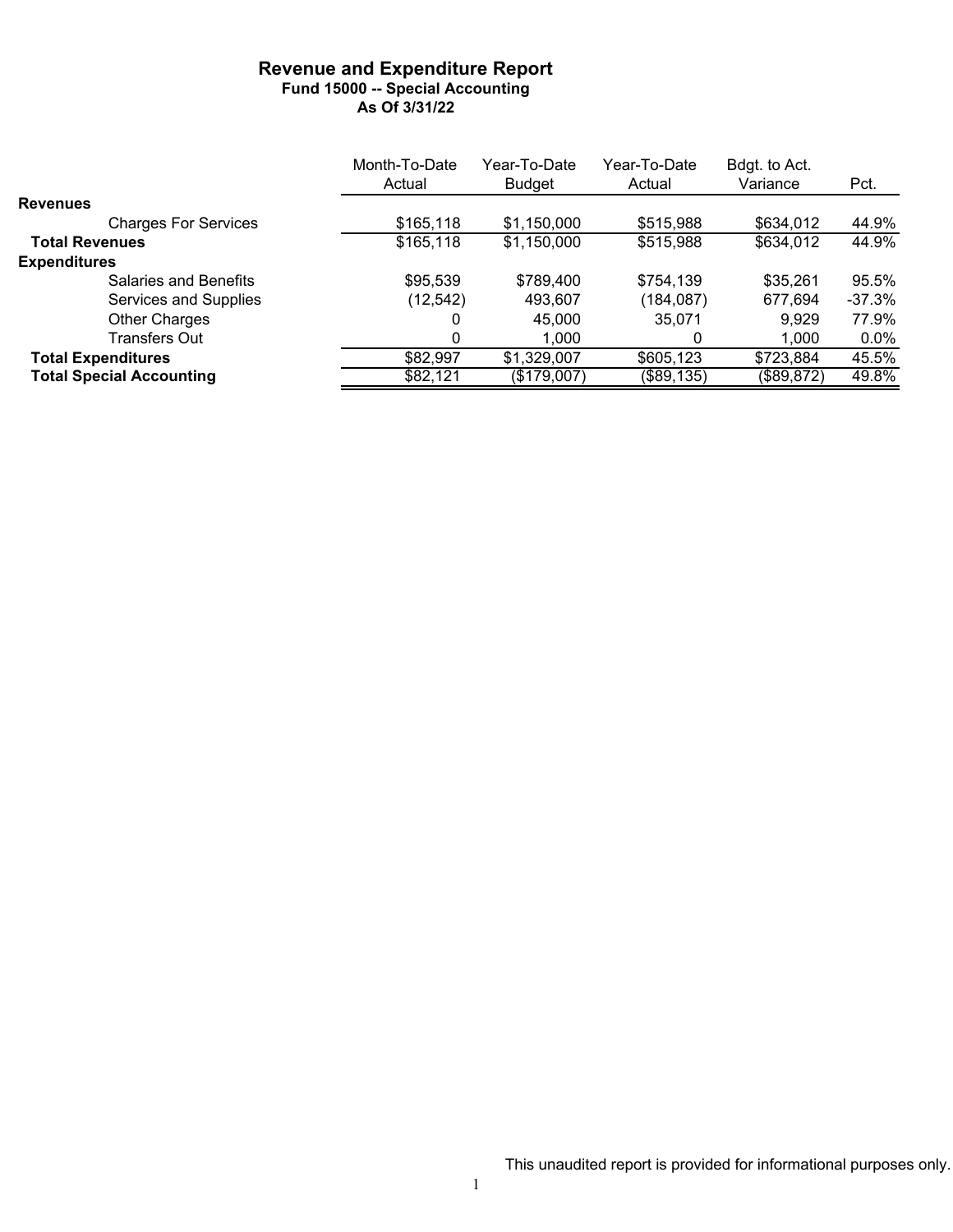#### **Revenue and Expenditure Report Fund 15000 -- Special Accounting As Of 3/31/22**

|                                 | Month-To-Date | Year-To-Date | Year-To-Date | Bdgt. to Act. |          |
|---------------------------------|---------------|--------------|--------------|---------------|----------|
|                                 | Actual        | Budget       | Actual       | Variance      | Pct.     |
| <b>Revenues</b>                 |               |              |              |               |          |
| <b>Charges For Services</b>     | \$165,118     | \$1,150,000  | \$515,988    | \$634,012     | 44.9%    |
| <b>Total Revenues</b>           | \$165,118     | \$1,150,000  | \$515,988    | \$634,012     | 44.9%    |
| <b>Expenditures</b>             |               |              |              |               |          |
| Salaries and Benefits           | \$95,539      | \$789,400    | \$754,139    | \$35,261      | 95.5%    |
| Services and Supplies           | (12,542)      | 493,607      | (184,087)    | 677,694       | $-37.3%$ |
| <b>Other Charges</b>            |               | 45,000       | 35.071       | 9,929         | 77.9%    |
| Transfers Out                   | $\Omega$      | 1,000        |              | 1.000         | $0.0\%$  |
| <b>Total Expenditures</b>       | \$82,997      | \$1,329,007  | \$605,123    | \$723,884     | 45.5%    |
| <b>Total Special Accounting</b> | \$82,121      | (\$179,007)  | (\$89, 135)  | (\$89,872)    | 49.8%    |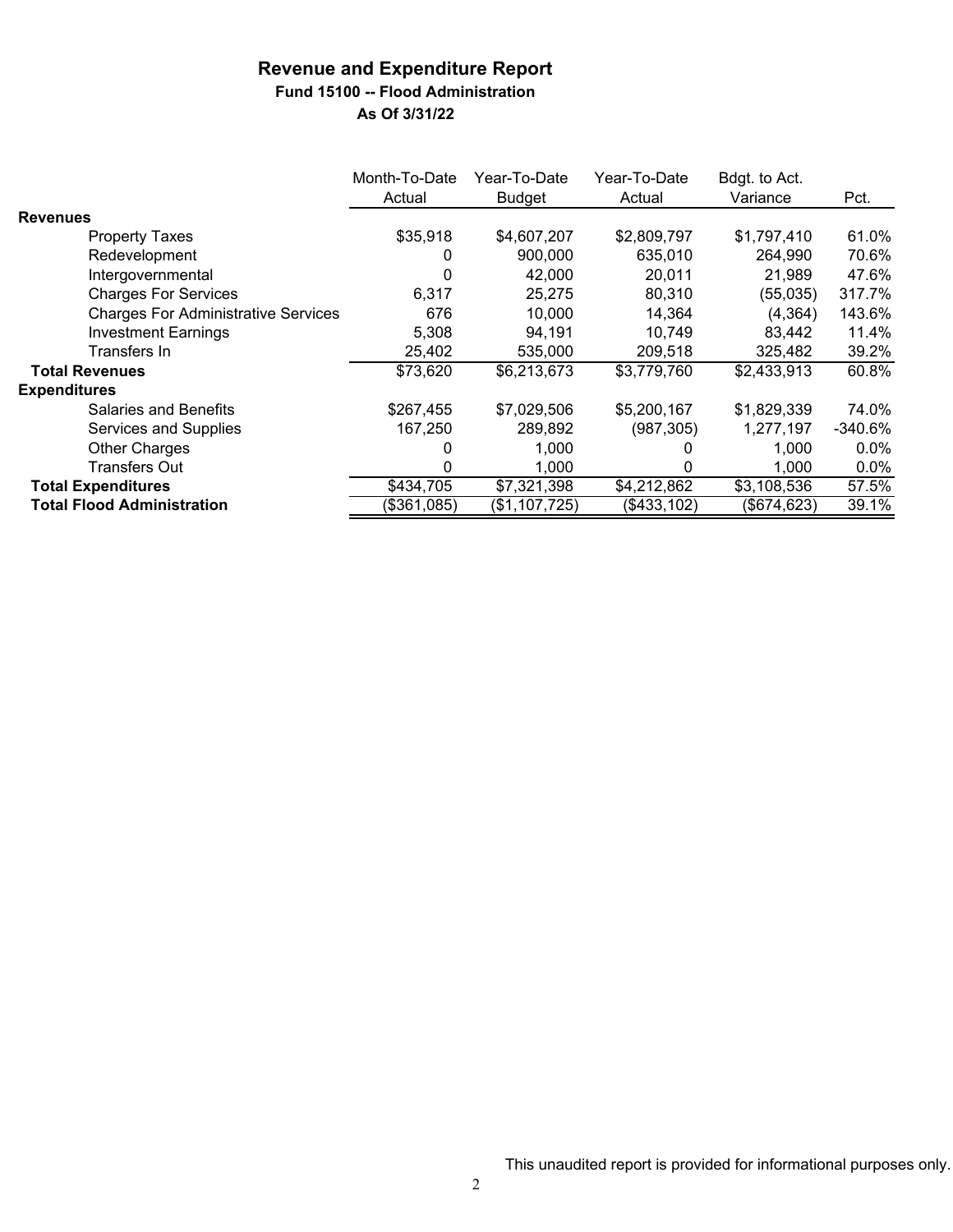# **Fund 15100 -- Flood Administration**

|                                            | Month-To-Date<br>Actual | Year-To-Date<br><b>Budget</b> | Year-To-Date<br>Actual | Bdgt. to Act.<br>Variance | Pct.      |
|--------------------------------------------|-------------------------|-------------------------------|------------------------|---------------------------|-----------|
| <b>Revenues</b>                            |                         |                               |                        |                           |           |
| <b>Property Taxes</b>                      | \$35,918                | \$4,607,207                   | \$2,809,797            | \$1,797,410               | 61.0%     |
| Redevelopment                              | 0                       | 900,000                       | 635,010                | 264,990                   | 70.6%     |
| Intergovernmental                          | 0                       | 42,000                        | 20,011                 | 21.989                    | 47.6%     |
| <b>Charges For Services</b>                | 6,317                   | 25,275                        | 80,310                 | (55,035)                  | 317.7%    |
| <b>Charges For Administrative Services</b> | 676                     | 10.000                        | 14,364                 | (4, 364)                  | 143.6%    |
| <b>Investment Earnings</b>                 | 5,308                   | 94,191                        | 10.749                 | 83,442                    | 11.4%     |
| Transfers In                               | 25,402                  | 535,000                       | 209,518                | 325,482                   | 39.2%     |
| <b>Total Revenues</b>                      | \$73,620                | \$6,213,673                   | \$3,779,760            | \$2,433,913               | 60.8%     |
| <b>Expenditures</b>                        |                         |                               |                        |                           |           |
| Salaries and Benefits                      | \$267,455               | \$7,029,506                   | \$5,200,167            | \$1,829,339               | 74.0%     |
| Services and Supplies                      | 167,250                 | 289,892                       | (987, 305)             | 1,277,197                 | $-340.6%$ |
| <b>Other Charges</b>                       | 0                       | 1,000                         | O                      | 1,000                     | $0.0\%$   |
| Transfers Out                              | 0                       | 1,000                         | 0                      | 1,000                     | $0.0\%$   |
| <b>Total Expenditures</b>                  | \$434,705               | \$7,321,398                   | \$4,212,862            | \$3,108,536               | 57.5%     |
| <b>Total Flood Administration</b>          | (\$361,085)             | (\$1,107,725)                 | (\$433,102)            | (\$674,623)               | 39.1%     |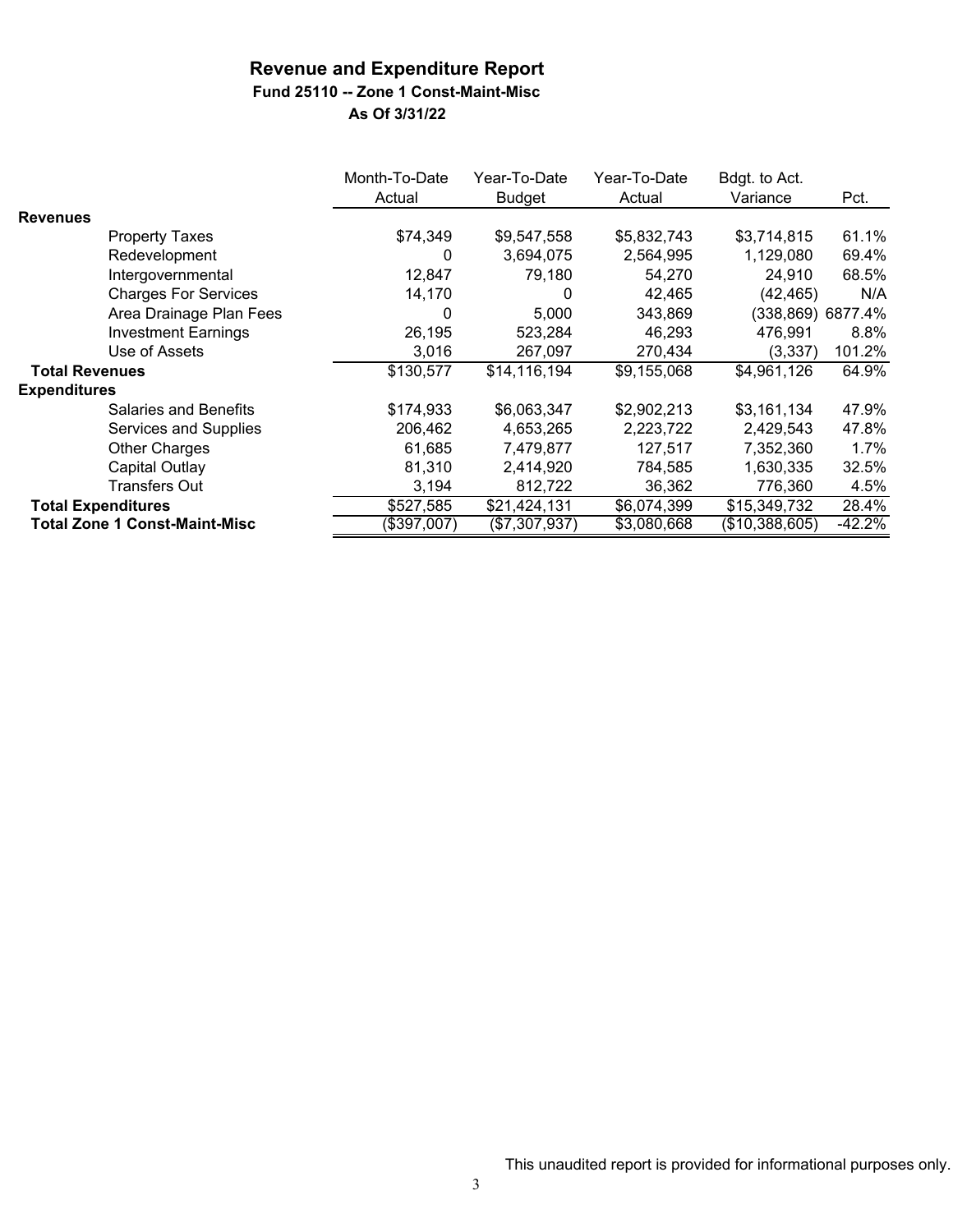### **Fund 25110 -- Zone 1 Const-Maint-Misc**

|                       |                                      | Month-To-Date<br>Actual | Year-To-Date<br><b>Budget</b> | Year-To-Date<br>Actual | Bdgt. to Act.<br>Variance | Pct.              |
|-----------------------|--------------------------------------|-------------------------|-------------------------------|------------------------|---------------------------|-------------------|
| <b>Revenues</b>       |                                      |                         |                               |                        |                           |                   |
|                       | <b>Property Taxes</b>                | \$74,349                | \$9,547,558                   | \$5,832,743            | \$3,714,815               | 61.1%             |
|                       | Redevelopment                        | 0                       | 3,694,075                     | 2,564,995              | 1,129,080                 | 69.4%             |
|                       | Intergovernmental                    | 12,847                  | 79,180                        | 54,270                 | 24,910                    | 68.5%             |
|                       | <b>Charges For Services</b>          | 14,170                  | 0                             | 42,465                 | (42, 465)                 | N/A               |
|                       | Area Drainage Plan Fees              | 0                       | 5,000                         | 343,869                |                           | (338,869) 6877.4% |
|                       | <b>Investment Earnings</b>           | 26,195                  | 523,284                       | 46,293                 | 476,991                   | 8.8%              |
|                       | Use of Assets                        | 3,016                   | 267,097                       | 270,434                | (3, 337)                  | 101.2%            |
| <b>Total Revenues</b> |                                      | \$130,577               | \$14,116,194                  | \$9,155,068            | \$4,961,126               | 64.9%             |
| <b>Expenditures</b>   |                                      |                         |                               |                        |                           |                   |
|                       | <b>Salaries and Benefits</b>         | \$174,933               | \$6,063,347                   | \$2,902,213            | \$3,161,134               | 47.9%             |
|                       | Services and Supplies                | 206,462                 | 4,653,265                     | 2,223,722              | 2,429,543                 | 47.8%             |
|                       | <b>Other Charges</b>                 | 61,685                  | 7,479,877                     | 127,517                | 7,352,360                 | $1.7\%$           |
|                       | <b>Capital Outlay</b>                | 81,310                  | 2,414,920                     | 784,585                | 1,630,335                 | 32.5%             |
|                       | Transfers Out                        | 3,194                   | 812,722                       | 36,362                 | 776,360                   | 4.5%              |
|                       | <b>Total Expenditures</b>            | \$527,585               | \$21,424,131                  | \$6,074,399            | \$15,349,732              | 28.4%             |
|                       | <b>Total Zone 1 Const-Maint-Misc</b> | (\$397,007)             | (\$7,307,937)                 | \$3,080,668            | (\$10,388,605)            | $-42.2%$          |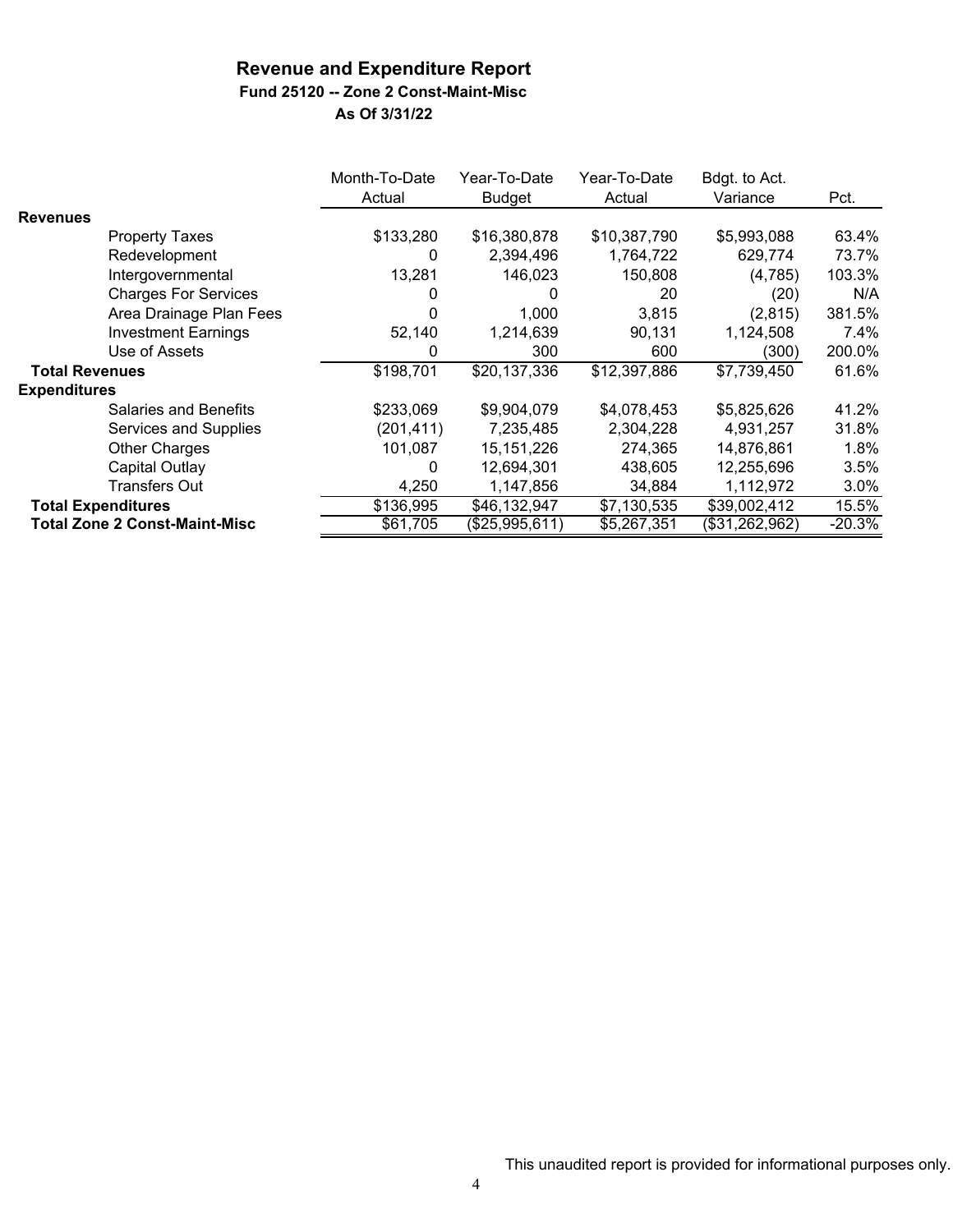# **Fund 25120 -- Zone 2 Const-Maint-Misc**

|                       |                                      | Month-To-Date<br>Actual | Year-To-Date<br>Budget | Year-To-Date<br>Actual | Bdgt. to Act.<br>Variance | Pct.     |
|-----------------------|--------------------------------------|-------------------------|------------------------|------------------------|---------------------------|----------|
| <b>Revenues</b>       |                                      |                         |                        |                        |                           |          |
|                       | <b>Property Taxes</b>                | \$133,280               | \$16,380,878           | \$10,387,790           | \$5,993,088               | 63.4%    |
|                       | Redevelopment                        | 0                       | 2,394,496              | 1,764,722              | 629,774                   | 73.7%    |
|                       | Intergovernmental                    | 13,281                  | 146,023                | 150,808                | (4,785)                   | 103.3%   |
|                       | <b>Charges For Services</b>          | 0                       | 0                      | 20                     | (20)                      | N/A      |
|                       | Area Drainage Plan Fees              |                         | 1,000                  | 3,815                  | (2,815)                   | 381.5%   |
|                       | <b>Investment Earnings</b>           | 52,140                  | 1,214,639              | 90,131                 | 1,124,508                 | 7.4%     |
|                       | Use of Assets                        | 0                       | 300                    | 600                    | (300)                     | 200.0%   |
| <b>Total Revenues</b> |                                      | \$198,701               | \$20,137,336           | \$12,397,886           | \$7,739,450               | 61.6%    |
| <b>Expenditures</b>   |                                      |                         |                        |                        |                           |          |
|                       | <b>Salaries and Benefits</b>         | \$233,069               | \$9,904,079            | \$4,078,453            | \$5,825,626               | 41.2%    |
|                       | Services and Supplies                | (201, 411)              | 7,235,485              | 2,304,228              | 4,931,257                 | 31.8%    |
|                       | <b>Other Charges</b>                 | 101,087                 | 15, 151, 226           | 274,365                | 14,876,861                | 1.8%     |
|                       | Capital Outlay                       | 0                       | 12,694,301             | 438,605                | 12,255,696                | 3.5%     |
|                       | Transfers Out                        | 4,250                   | 1,147,856              | 34,884                 | 1,112,972                 | $3.0\%$  |
|                       | <b>Total Expenditures</b>            | \$136,995               | \$46,132,947           | \$7,130,535            | \$39,002,412              | 15.5%    |
|                       | <b>Total Zone 2 Const-Maint-Misc</b> | \$61,705                | (\$25,995,611)         | \$5,267,351            | (\$31,262,962)            | $-20.3%$ |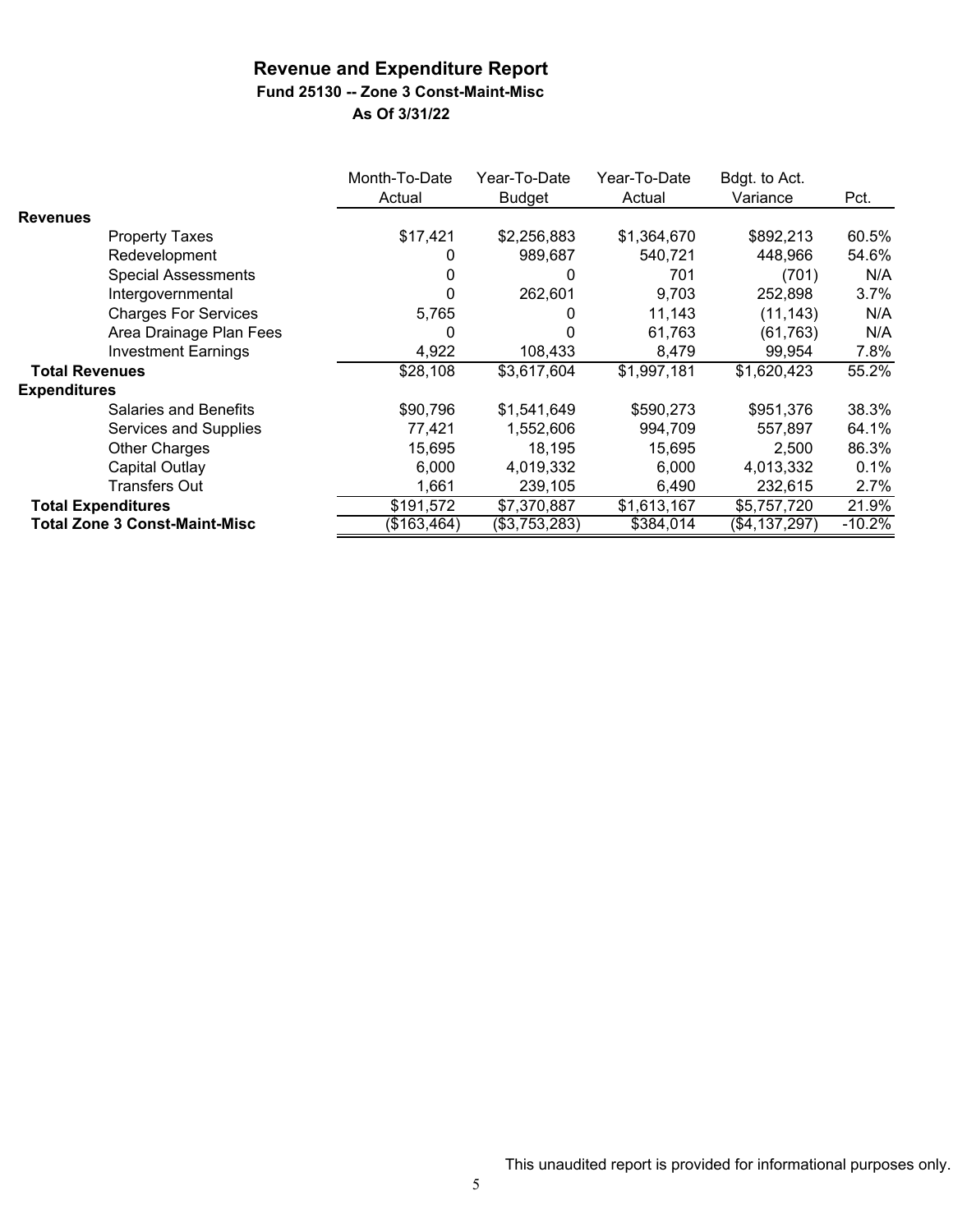# **Fund 25130 -- Zone 3 Const-Maint-Misc**

|                       |                                      | Month-To-Date<br>Actual | Year-To-Date<br><b>Budget</b> | Year-To-Date<br>Actual | Bdgt. to Act.<br>Variance | Pct.     |
|-----------------------|--------------------------------------|-------------------------|-------------------------------|------------------------|---------------------------|----------|
| <b>Revenues</b>       |                                      |                         |                               |                        |                           |          |
|                       | <b>Property Taxes</b>                | \$17,421                | \$2,256,883                   | \$1,364,670            | \$892,213                 | 60.5%    |
|                       | Redevelopment                        |                         | 989,687                       | 540,721                | 448,966                   | 54.6%    |
|                       | <b>Special Assessments</b>           |                         | 0                             | 701                    | (701)                     | N/A      |
|                       | Intergovernmental                    |                         | 262,601                       | 9,703                  | 252,898                   | 3.7%     |
|                       | <b>Charges For Services</b>          | 5,765                   | 0                             | 11,143                 | (11, 143)                 | N/A      |
|                       | Area Drainage Plan Fees              | O                       | 0                             | 61,763                 | (61, 763)                 | N/A      |
|                       | <b>Investment Earnings</b>           | 4,922                   | 108,433                       | 8,479                  | 99,954                    | 7.8%     |
| <b>Total Revenues</b> |                                      | \$28,108                | \$3,617,604                   | \$1,997,181            | \$1,620,423               | 55.2%    |
| <b>Expenditures</b>   |                                      |                         |                               |                        |                           |          |
|                       | <b>Salaries and Benefits</b>         | \$90,796                | \$1,541,649                   | \$590,273              | \$951,376                 | 38.3%    |
|                       | Services and Supplies                | 77,421                  | 1,552,606                     | 994,709                | 557,897                   | 64.1%    |
|                       | Other Charges                        | 15,695                  | 18,195                        | 15,695                 | 2,500                     | 86.3%    |
|                       | Capital Outlay                       | 6,000                   | 4,019,332                     | 6,000                  | 4,013,332                 | 0.1%     |
|                       | Transfers Out                        | 1,661                   | 239,105                       | 6,490                  | 232,615                   | 2.7%     |
|                       | <b>Total Expenditures</b>            | \$191,572               | \$7,370,887                   | \$1,613,167            | \$5,757,720               | 21.9%    |
|                       | <b>Total Zone 3 Const-Maint-Misc</b> | (\$163,464)             | (\$3,753,283)                 | \$384,014              | (\$4,137,297)             | $-10.2%$ |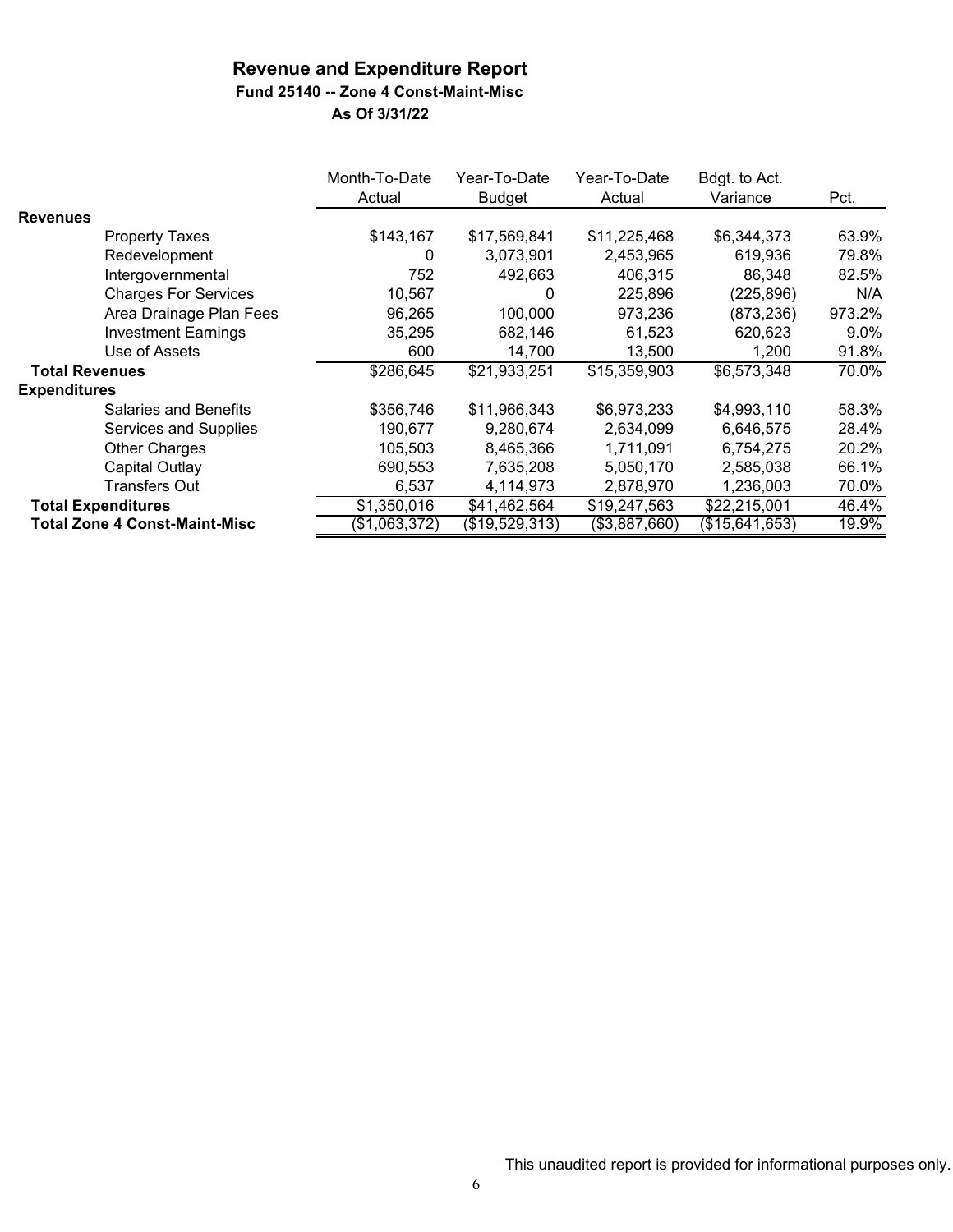## **Fund 25140 -- Zone 4 Const-Maint-Misc**

|                       |                                      | Month-To-Date<br>Actual | Year-To-Date<br><b>Budget</b> | Year-To-Date<br>Actual | Bdgt. to Act.<br>Variance | Pct.    |
|-----------------------|--------------------------------------|-------------------------|-------------------------------|------------------------|---------------------------|---------|
| <b>Revenues</b>       |                                      |                         |                               |                        |                           |         |
|                       | <b>Property Taxes</b>                | \$143,167               | \$17,569,841                  | \$11,225,468           | \$6,344,373               | 63.9%   |
|                       | Redevelopment                        | 0                       | 3,073,901                     | 2,453,965              | 619,936                   | 79.8%   |
|                       | Intergovernmental                    | 752                     | 492,663                       | 406,315                | 86,348                    | 82.5%   |
|                       | <b>Charges For Services</b>          | 10,567                  | 0                             | 225,896                | (225, 896)                | N/A     |
|                       | Area Drainage Plan Fees              | 96,265                  | 100,000                       | 973,236                | (873, 236)                | 973.2%  |
|                       | <b>Investment Earnings</b>           | 35,295                  | 682,146                       | 61,523                 | 620,623                   | $9.0\%$ |
|                       | Use of Assets                        | 600                     | 14,700                        | 13,500                 | 1,200                     | 91.8%   |
| <b>Total Revenues</b> |                                      | \$286,645               | \$21,933,251                  | \$15,359,903           | \$6,573,348               | 70.0%   |
| <b>Expenditures</b>   |                                      |                         |                               |                        |                           |         |
|                       | Salaries and Benefits                | \$356,746               | \$11,966,343                  | \$6,973,233            | \$4,993,110               | 58.3%   |
|                       | Services and Supplies                | 190,677                 | 9,280,674                     | 2,634,099              | 6,646,575                 | 28.4%   |
|                       | <b>Other Charges</b>                 | 105,503                 | 8,465,366                     | 1,711,091              | 6,754,275                 | 20.2%   |
|                       | Capital Outlay                       | 690,553                 | 7,635,208                     | 5,050,170              | 2,585,038                 | 66.1%   |
|                       | <b>Transfers Out</b>                 | 6,537                   | 4,114,973                     | 2,878,970              | 1,236,003                 | 70.0%   |
|                       | <b>Total Expenditures</b>            | \$1,350,016             | \$41,462,564                  | \$19,247,563           | \$22,215,001              | 46.4%   |
|                       | <b>Total Zone 4 Const-Maint-Misc</b> | (\$1,063,372)           | (\$19,529,313)                | (\$3,887,660)          | (\$15,641,653)            | 19.9%   |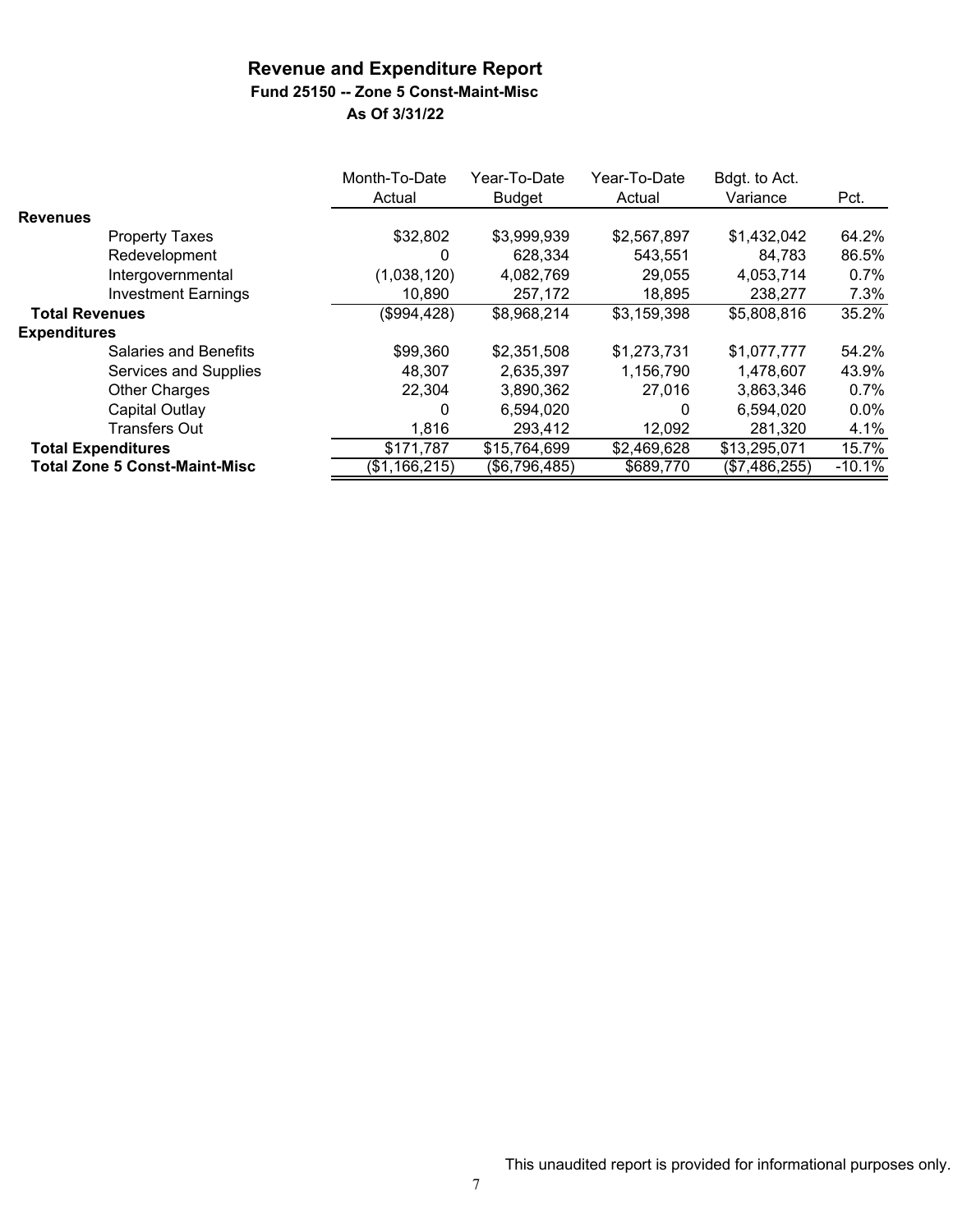# **Fund 25150 -- Zone 5 Const-Maint-Misc**

|                                      | Month-To-Date<br>Actual | Year-To-Date<br><b>Budget</b> | Year-To-Date<br>Actual | Bdgt. to Act.<br>Variance | Pct.     |
|--------------------------------------|-------------------------|-------------------------------|------------------------|---------------------------|----------|
| <b>Revenues</b>                      |                         |                               |                        |                           |          |
| <b>Property Taxes</b>                | \$32,802                | \$3,999,939                   | \$2,567,897            | \$1,432,042               | 64.2%    |
| Redevelopment                        | 0                       | 628.334                       | 543.551                | 84,783                    | 86.5%    |
| Intergovernmental                    | (1,038,120)             | 4,082,769                     | 29,055                 | 4,053,714                 | $0.7\%$  |
| <b>Investment Earnings</b>           | 10,890                  | 257,172                       | 18,895                 | 238,277                   | 7.3%     |
| <b>Total Revenues</b>                | (\$994,428)             | \$8,968,214                   | \$3,159,398            | \$5,808,816               | 35.2%    |
| <b>Expenditures</b>                  |                         |                               |                        |                           |          |
| Salaries and Benefits                | \$99,360                | \$2,351,508                   | \$1,273,731            | \$1,077,777               | 54.2%    |
| Services and Supplies                | 48,307                  | 2,635,397                     | 1,156,790              | 1,478,607                 | 43.9%    |
| <b>Other Charges</b>                 | 22,304                  | 3,890,362                     | 27,016                 | 3,863,346                 | 0.7%     |
| Capital Outlay                       | 0                       | 6,594,020                     | 0                      | 6,594,020                 | $0.0\%$  |
| <b>Transfers Out</b>                 | 1,816                   | 293,412                       | 12,092                 | 281,320                   | 4.1%     |
| <b>Total Expenditures</b>            | \$171,787               | \$15,764,699                  | \$2,469,628            | \$13,295,071              | 15.7%    |
| <b>Total Zone 5 Const-Maint-Misc</b> | (\$1,166,215)           | (\$6,796,485)                 | \$689,770              | (\$7,486,255)             | $-10.1%$ |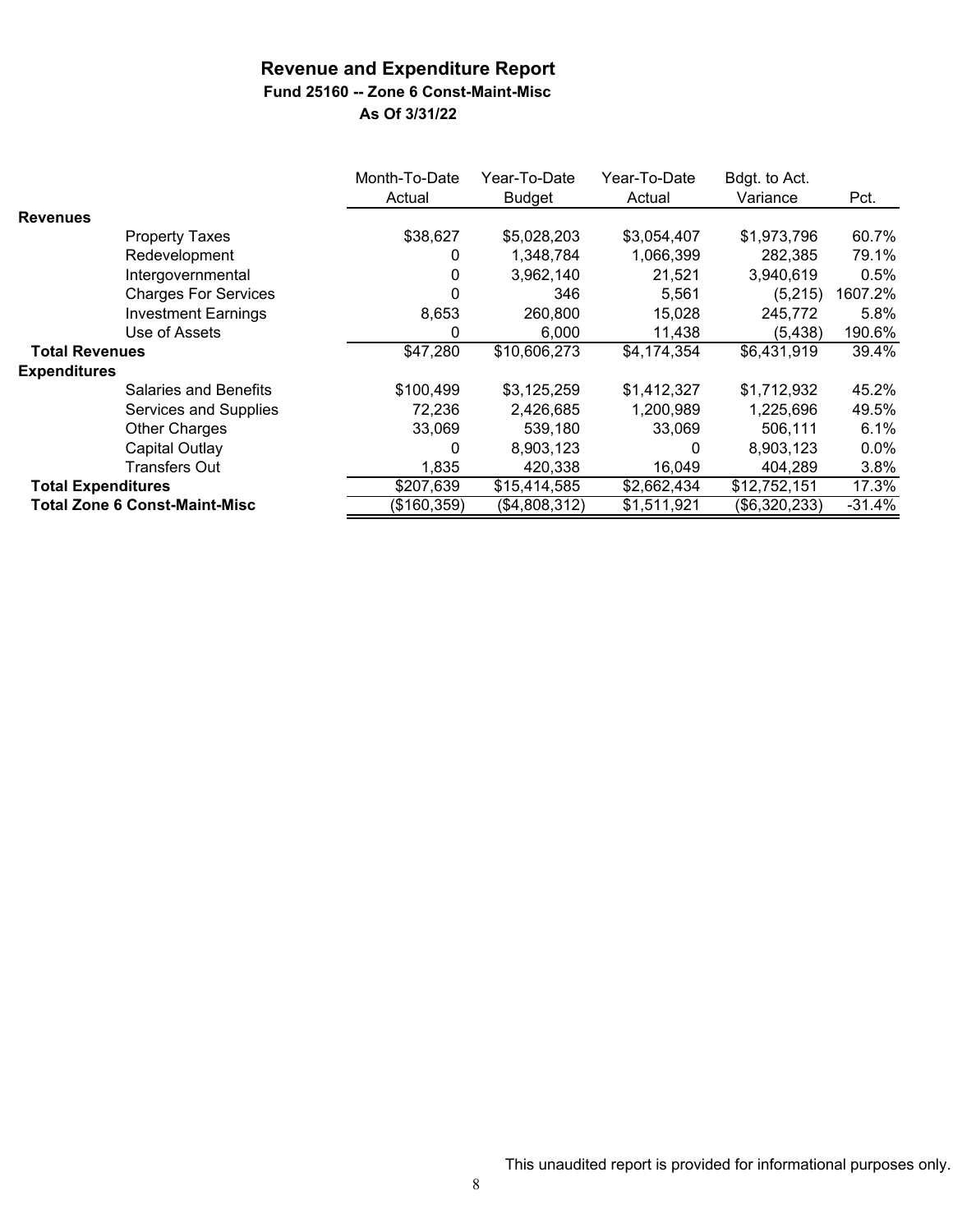**Fund 25160 -- Zone 6 Const-Maint-Misc**

|                           |                                      | Month-To-Date | Year-To-Date  | Year-To-Date | Bdgt. to Act. |          |
|---------------------------|--------------------------------------|---------------|---------------|--------------|---------------|----------|
|                           |                                      | Actual        | <b>Budget</b> | Actual       | Variance      | Pct.     |
| <b>Revenues</b>           |                                      |               |               |              |               |          |
|                           | <b>Property Taxes</b>                | \$38,627      | \$5,028,203   | \$3,054,407  | \$1,973,796   | 60.7%    |
|                           | Redevelopment                        | 0             | 1,348,784     | 1,066,399    | 282,385       | 79.1%    |
|                           | Intergovernmental                    | 0             | 3,962,140     | 21,521       | 3,940,619     | 0.5%     |
|                           | <b>Charges For Services</b>          | ი             | 346           | 5,561        | (5,215)       | 1607.2%  |
|                           | <b>Investment Earnings</b>           | 8,653         | 260,800       | 15,028       | 245,772       | 5.8%     |
|                           | Use of Assets                        | 0             | 6,000         | 11,438       | (5, 438)      | 190.6%   |
| <b>Total Revenues</b>     |                                      | \$47,280      | \$10,606,273  | \$4,174,354  | \$6,431,919   | 39.4%    |
| <b>Expenditures</b>       |                                      |               |               |              |               |          |
|                           | <b>Salaries and Benefits</b>         | \$100,499     | \$3,125,259   | \$1,412,327  | \$1,712,932   | 45.2%    |
|                           | Services and Supplies                | 72,236        | 2,426,685     | 1,200,989    | 1,225,696     | 49.5%    |
|                           | Other Charges                        | 33,069        | 539,180       | 33,069       | 506,111       | 6.1%     |
|                           | Capital Outlay                       | 0             | 8,903,123     | 0            | 8,903,123     | $0.0\%$  |
|                           | Transfers Out                        | 1,835         | 420,338       | 16,049       | 404,289       | 3.8%     |
| <b>Total Expenditures</b> |                                      | \$207,639     | \$15,414,585  | \$2,662,434  | \$12,752,151  | 17.3%    |
|                           | <b>Total Zone 6 Const-Maint-Misc</b> | (\$160,359)   | (\$4,808,312) | \$1,511,921  | (\$6,320,233) | $-31.4%$ |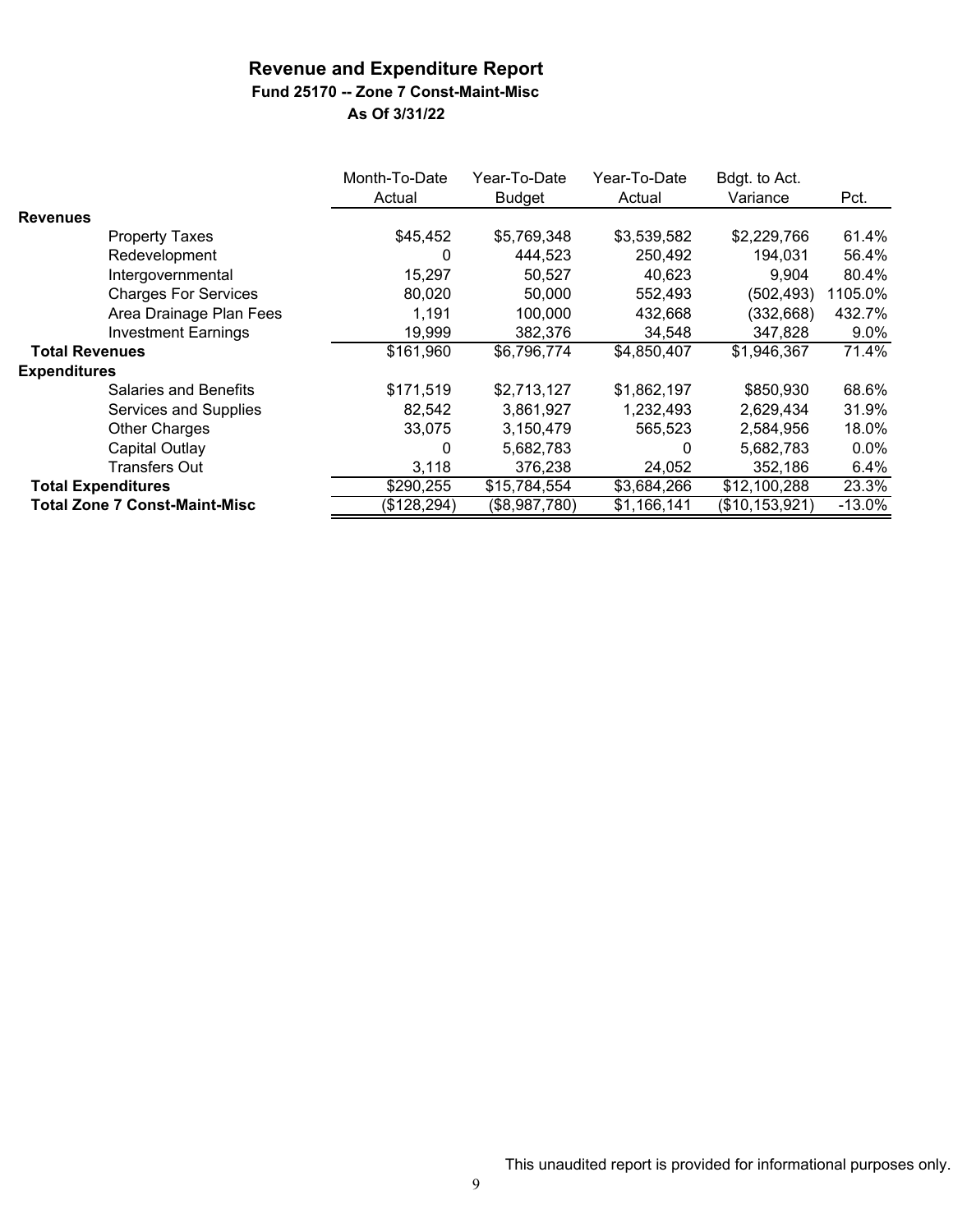### **Fund 25170 -- Zone 7 Const-Maint-Misc**

|                           |                                      | Month-To-Date<br>Actual | Year-To-Date<br><b>Budget</b> | Year-To-Date<br>Actual | Bdgt. to Act.<br>Variance | Pct.     |
|---------------------------|--------------------------------------|-------------------------|-------------------------------|------------------------|---------------------------|----------|
| <b>Revenues</b>           |                                      |                         |                               |                        |                           |          |
|                           | <b>Property Taxes</b>                | \$45,452                | \$5,769,348                   | \$3,539,582            | \$2,229,766               | 61.4%    |
|                           | Redevelopment                        | 0                       | 444,523                       | 250,492                | 194,031                   | 56.4%    |
|                           | Intergovernmental                    | 15,297                  | 50,527                        | 40,623                 | 9.904                     | 80.4%    |
|                           | <b>Charges For Services</b>          | 80,020                  | 50,000                        | 552,493                | (502, 493)                | 1105.0%  |
|                           | Area Drainage Plan Fees              | 1,191                   | 100,000                       | 432,668                | (332, 668)                | 432.7%   |
|                           | <b>Investment Earnings</b>           | 19,999                  | 382,376                       | 34,548                 | 347,828                   | 9.0%     |
| <b>Total Revenues</b>     |                                      | \$161,960               | \$6,796,774                   | \$4,850,407            | \$1,946,367               | 71.4%    |
| <b>Expenditures</b>       |                                      |                         |                               |                        |                           |          |
|                           | <b>Salaries and Benefits</b>         | \$171,519               | \$2,713,127                   | \$1,862,197            | \$850,930                 | 68.6%    |
|                           | Services and Supplies                | 82,542                  | 3,861,927                     | 1,232,493              | 2,629,434                 | 31.9%    |
|                           | <b>Other Charges</b>                 | 33,075                  | 3,150,479                     | 565,523                | 2,584,956                 | 18.0%    |
|                           | Capital Outlay                       | 0                       | 5,682,783                     | 0                      | 5,682,783                 | $0.0\%$  |
|                           | <b>Transfers Out</b>                 | 3,118                   | 376,238                       | 24,052                 | 352,186                   | 6.4%     |
| <b>Total Expenditures</b> |                                      | \$290,255               | \$15,784,554                  | \$3,684,266            | \$12,100,288              | 23.3%    |
|                           | <b>Total Zone 7 Const-Maint-Misc</b> | $\sqrt{($128,294)}$     | (\$8,987,780)                 | \$1,166,141            | (\$10,153,921)            | $-13.0%$ |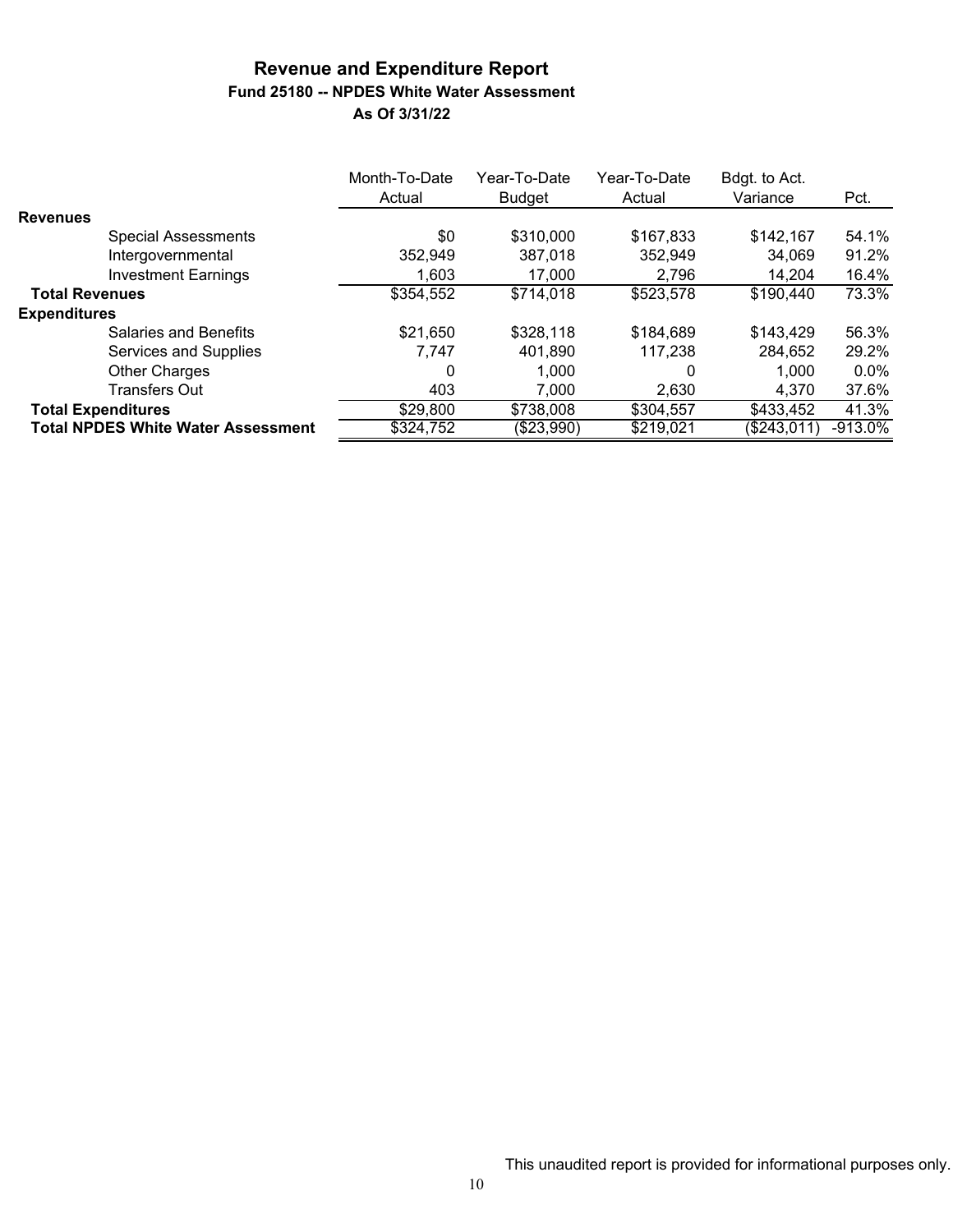#### **Revenue and Expenditure Report Fund 25180 -- NPDES White Water Assessment As Of 3/31/22**

|                       |                                           | Month-To-Date<br>Actual | Year-To-Date<br><b>Budget</b> | Year-To-Date<br>Actual | Bdgt. to Act.<br>Variance | Pct.      |
|-----------------------|-------------------------------------------|-------------------------|-------------------------------|------------------------|---------------------------|-----------|
| <b>Revenues</b>       |                                           |                         |                               |                        |                           |           |
|                       | <b>Special Assessments</b>                | \$0                     | \$310,000                     | \$167,833              | \$142,167                 | 54.1%     |
|                       | Intergovernmental                         | 352,949                 | 387.018                       | 352,949                | 34.069                    | 91.2%     |
|                       | <b>Investment Earnings</b>                | 1.603                   | 17,000                        | 2,796                  | 14.204                    | 16.4%     |
| <b>Total Revenues</b> |                                           | \$354,552               | \$714,018                     | \$523,578              | \$190,440                 | 73.3%     |
| <b>Expenditures</b>   |                                           |                         |                               |                        |                           |           |
|                       | Salaries and Benefits                     | \$21,650                | \$328,118                     | \$184,689              | \$143,429                 | 56.3%     |
|                       | Services and Supplies                     | 7.747                   | 401.890                       | 117.238                | 284,652                   | 29.2%     |
|                       | <b>Other Charges</b>                      | 0                       | 1.000                         | 0                      | 1.000                     | $0.0\%$   |
|                       | <b>Transfers Out</b>                      | 403                     | 7,000                         | 2,630                  | 4.370                     | 37.6%     |
|                       | <b>Total Expenditures</b>                 | \$29,800                | \$738,008                     | \$304,557              | \$433,452                 | 41.3%     |
|                       | <b>Total NPDES White Water Assessment</b> | \$324,752               | (\$23,990)                    | \$219,021              | (\$243,011)               | $-913.0%$ |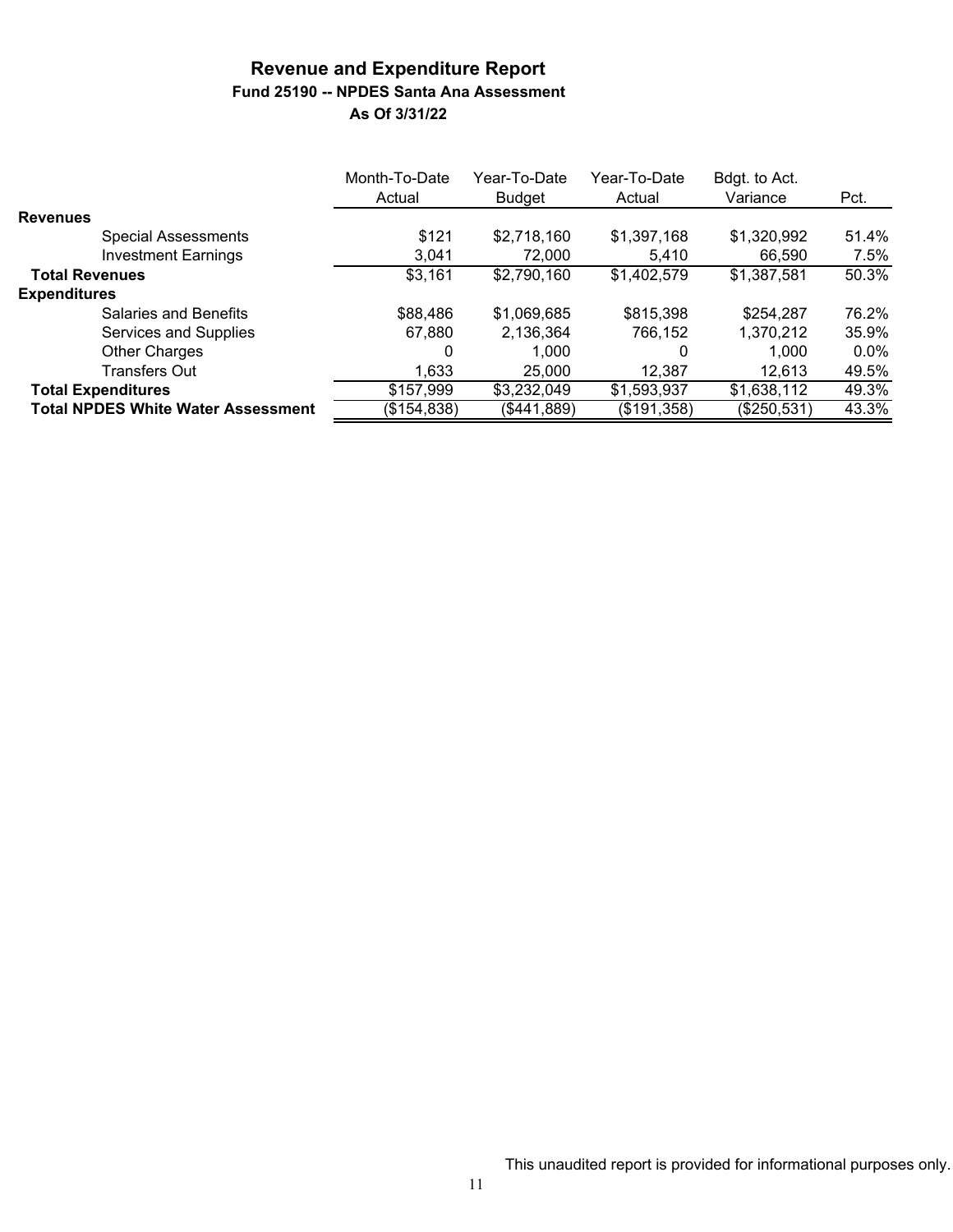### **Revenue and Expenditure Report Fund 25190 -- NPDES Santa Ana Assessment As Of 3/31/22**

|                                           | Month-To-Date<br>Actual | Year-To-Date<br>Budget | Year-To-Date<br>Actual | Bdgt. to Act.<br>Variance | Pct.    |
|-------------------------------------------|-------------------------|------------------------|------------------------|---------------------------|---------|
| <b>Revenues</b>                           |                         |                        |                        |                           |         |
| <b>Special Assessments</b>                | \$121                   | \$2,718,160            | \$1,397,168            | \$1,320,992               | 51.4%   |
| <b>Investment Earnings</b>                | 3,041                   | 72,000                 | 5.410                  | 66.590                    | 7.5%    |
| <b>Total Revenues</b>                     | \$3,161                 | \$2,790,160            | \$1,402,579            | \$1,387,581               | 50.3%   |
| <b>Expenditures</b>                       |                         |                        |                        |                           |         |
| <b>Salaries and Benefits</b>              | \$88,486                | \$1,069,685            | \$815,398              | \$254,287                 | 76.2%   |
| Services and Supplies                     | 67,880                  | 2,136,364              | 766,152                | 1,370,212                 | 35.9%   |
| <b>Other Charges</b>                      | 0                       | 1.000                  |                        | 1.000                     | $0.0\%$ |
| <b>Transfers Out</b>                      | 1,633                   | 25,000                 | 12,387                 | 12,613                    | 49.5%   |
| <b>Total Expenditures</b>                 | \$157,999               | \$3,232,049            | \$1,593,937            | \$1,638,112               | 49.3%   |
| <b>Total NPDES White Water Assessment</b> | (\$154,838)             | (\$441,889)            | (\$191,358)            | (\$250,531)               | 43.3%   |